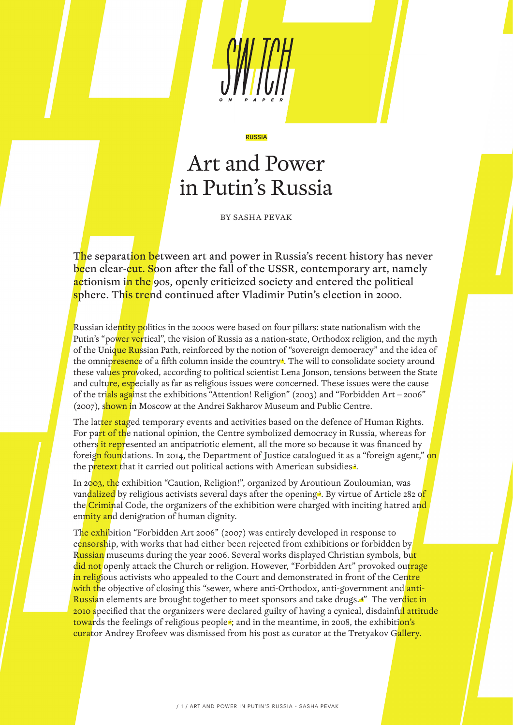

# Art and Power in Putin's Russia

RUSSIA

BY SASHA PEVAK

The separation between art and power in Russia's recent history has never been clear-cut. Soon after the fall of the USSR, contemporary art, namely actionism in the 90s, openly criticized society and entered the political sphere. This trend continued after Vladimir Putin's election in 2000.

Russian identity politics in the 2000s were based on four pillars: state nationalism with the Putin's "power vertical", the vision of Russia as a nation-state, Orthodox religion, and the myth of the Unique Russian Path, reinforced by the notion of "sovereign democracy" and the idea of the omnipresence of a fifth column inside the country<sup>1</sup>. The will to consolidate society around these values provoked, according to political scientist Lena Jonson, tensions between the State and culture, especially as far as religious issues were concerned. These issues were the cause of the trials against the exhibitions "Attention! Religion" (2003) and "Forbidden Art – 2006" (2007), shown in Moscow at the Andrei Sakharov Museum and Public Centre.

The latter staged temporary events and activities based on the defence of Human Rights. For part of the national opinion, the Centre symbolized democracy in Russia, whereas for others it represented an antipatriotic element, all the more so because it was financed by foreig<mark>n foun</mark>dations. In 2014, the Department of Justice catalogued it as a "foreign agent," on the pretext that it carried out political actions with American subsidies<sup>2</sup>.

In 2003, the exhibition "Caution, Religion!", organized by Aroutioun Zouloumian, was van<mark>dalized</mark> by religious activists several days after the opening<sup>3</sup>. By virtue of Article 282 o<mark>f</mark> the Criminal Code, the organizers of the exhibition were charged with inciting hatred and enmity and denigration of human dignity.

The exhibition "Forbidden Art 2006" (2007) was entirely developed in response to censorship, with works that had either been rejected from exhibitions or forbidden by Russian museums during the year 2006. Several works displayed Christian symbols, but did not openly attack the Church or religion. However, "Forbidden Art" provoked outrage in religious activists who appealed to the Court and demonstrated in front of the Centre with the objective of closing this "sewer, where anti-Orthodox, anti-government and anti-Russian elements are brought together to meet sponsors and take drugs.<sup>4"</sup> The verdict in 2010 specified that the organizers were declared guilty of having a cynical, disdainful attitude towards the feelings of religious people<sup>s</sup>; and in the meantime, in 2008, the exhibition's curator Andrey Erofeev was dismissed from his post as curator at the Tretyakov Gallery.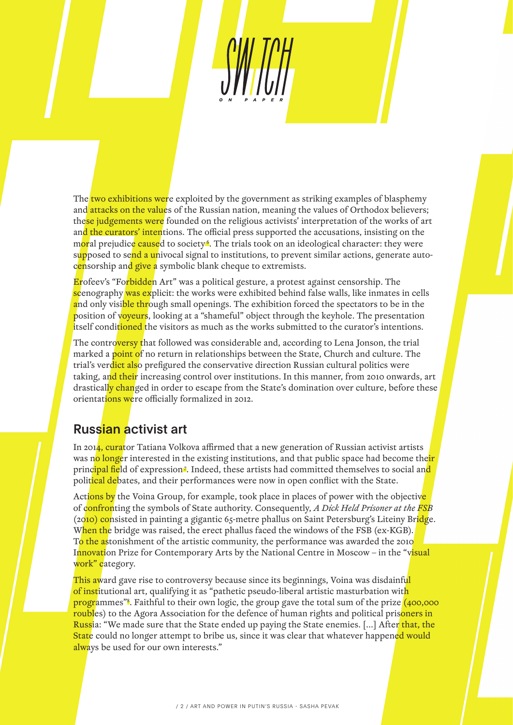The two exhibitions were exploited by the government as striking examples of blasphemy and attacks on the values of the Russian nation, meaning the values of Orthodox believers; these judgements were founded on the religious activists' interpretation of the works of art and the curators' intentions. The official press supported the accusations, insisting on the moral prejudice caused to society<sup>6</sup>. The trials took on an ideological character: they were supposed to send a univocal signal to institutions, to prevent similar actions, generate autocensorship and give a symbolic blank cheque to extremists.

Erofeev's "Forbidden Art" was a political gesture, a protest against censorship. The scenography was explicit: the works were exhibited behind false walls, like inmates in cells and only visible through small openings. The exhibition forced the spectators to be in the position of voyeurs, looking at a "shameful" object through the keyhole. The presentation itself conditioned the visitors as much as the works submitted to the curator's intentions.

The controversy that followed was considerable and, according to Lena Jonson, the trial marked a point of no return in relationships between the State, Church and culture. The trial's verdict also prefigured the conservative direction Russian cultural politics were taking, and their increasing control over institutions. In this manner, from 2010 onwards, art drastically changed in order to escape from the State's domination over culture, before these orientations were officially formalized in 2012.

### Russian activist art

In 2014, curator Tatiana Volkova affirmed that a new generation of Russian activist artists was no longer interested in the existing institutions, and that public space had become their principal field of expression<sup>7</sup>. Indeed, these artists had committed themselves to social and political debates, and their performances were now in open conflict with the State.

Actions by the Voina Group, for example, took place in places of power with the objective of confronting the symbols of State authority. Consequently, *A Dick Held Prisoner at the FSB* (2010) consisted in painting a gigantic 65-metre phallus on Saint Petersburg's Liteiny Bridge. When the bridge was raised, the erect phallus faced the windows of the FSB (ex-KGB). To the astonishment of the artistic community, the performance was awarded the 2010 Innovation Prize for Contemporary Arts by the National Centre in Moscow – in the "visual work" category.

This award gave rise to controversy because since its beginnings, Voina was disdainful of institutional art, qualifying it as "pathetic pseudo-liberal artistic masturbation with programmes"<sup>8</sup>. Faithful to their own logic, the group gave the total sum of the prize (400,000 roubles) to the Agora Association for the defence of human rights and political prisoners in Russia: "We made sure that the State ended up paying the State enemies. [...] After that, the State could no longer attempt to bribe us, since it was clear that whatever happened would always be used for our own interests."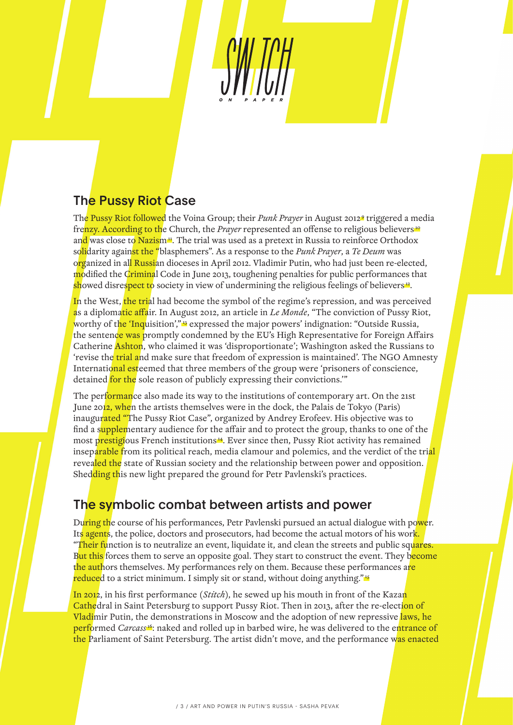# The Pussy Riot Case

The Pussy Riot followed the Voina Group; their *Punk Prayer* in August 2012<sup>9</sup> triggered a media frenzy. According to the Church, the *Prayer* represented an offense to religious believers<sup>10</sup> and was close to Nazism<sup>14</sup>. The trial was used as a pretext in Russia to reinforce Orthodox solidarity against the "blasphemers". As a response to the *Punk Prayer*, a *Te Deum* was organized in all Russian dioceses in April 2012. Vladimir Putin, who had just been re-elected, modified the Criminal Code in June 2013, toughening penalties for public performances that showed disrespect to society in view of undermining the religious feelings of believers<sup>12</sup>.

In the West, the trial had become the symbol of the regime's repression, and was perceived as a diplomatic affair. In August 2012, an article in *Le Monde*, "The conviction of Pussy Riot, worthy of the 'Inquisition',"<sup>33</sup> expressed the major powers' indignation: "Outside Russia, the sentence was promptly condemned by the EU's High Representative for Foreign Affairs Catherine **Ashton**, who claimed it was 'disproportionate'; Washington asked the Russians to 'revise the trial and make sure that freedom of expression is maintained'. The NGO Amnesty International esteemed that three members of the group were 'prisoners of conscience, detained for the sole reason of publicly expressing their convictions."

The performance also made its way to the institutions of contemporary art. On the 21st June 2012, when the artists themselves were in the dock, the Palais de Tokyo (Paris) inaugurated "The Pussy Riot Case", organized by Andrey Erofeev. His objective was to find a supplementary audience for the affair and to protect the group, thanks to one of the most prestigious French institutions<sup>14</sup>. Ever since then, Pussy Riot activity has remained inseparable from its political reach, media clamour and polemics, and the verdict of the trial revealed the state of Russian society and the relationship between power and opposition. Shedding this new light prepared the ground for Petr Pavlenski's practices.

## The symbolic combat between artists and power

During the course of his performances, Petr Pavlenski pursued an actual dialogue with power. Its agents, the police, doctors and prosecutors, had become the actual motors of his work. "Their function is to neutralize an event, liquidate it, and clean the streets and public squares. But this forces them to serve an opposite goal. They start to construct the event. They become the authors themselves. My performances rely on them. Because these performances are reduced to a strict minimum. I simply sit or stand, without doing anything."<sup>15</sup>

In 2012, in his first performance (*Stitch*), he sewed up his mouth in front of the Kazan Cathedral in Saint Petersburg to support Pussy Riot. Then in 2013, after the re-election of Vladimir Putin, the demonstrations in Moscow and the adoption of new repressive laws, he performed *Carcass*<sup>16</sup>: naked and rolled up in barbed wire, he was delivered to the entrance of the Parliament of Saint Petersburg. The artist didn't move, and the performance was enacted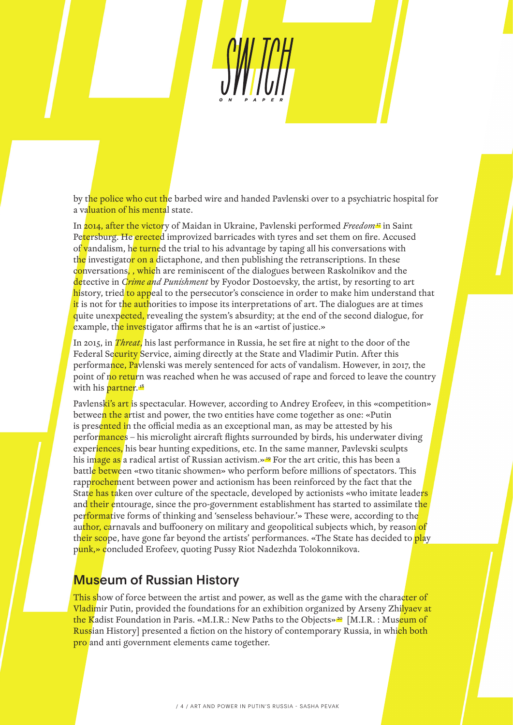by the police who cut the barbed wire and handed Pavlenski over to a psychiatric hospital for a valuation of his mental state.

In 2014, after the victory of Maidan in Ukraine, Pavlenski performed *Freedom*<sup>17</sup> in Saint Petersburg. He erected improvized barricades with tyres and set them on fire. Accused of vandalism, he turned the trial to his advantage by taping all his conversations with the investigator on a dictaphone, and then publishing the retranscriptions. In these conversations, , which are reminiscent of the dialogues between Raskolnikov and the detective in *Crime and Punishment* by Fyodor Dostoevsky, the artist, by resorting to art history, tried to appeal to the persecutor's conscience in order to make him understand that it is not for the authorities to impose its interpretations of art. The dialogues are at times quite unexpected, revealing the system's absurdity; at the end of the second dialogue, for example, the investigator affirms that he is an «artist of justice.»

In 2015, in *Threat*, his last performance in Russia, he set fire at night to the door of the Federal Security Service, aiming directly at the State and Vladimir Putin. After this performance, Paylenski was merely sentenced for acts of vandalism. However, in 2017, the point of no return was reached when he was accused of rape and forced to leave the country with his partner.<sup>18</sup>

Pavlenski's art is spectacular. However, according to Andrey Erofeev, in this «competition» between the artist and power, the two entities have come together as one: «Putin is presented in the official media as an exceptional man, as may be attested by his performances – his microlight aircraft flights surrounded by birds, his underwater diving experiences, his bear hunting expeditions, etc. In the same manner, Pavlevski sculpts his image as a radical artist of Russian activism.»<sup>19</sup> For the art critic, this has been a battle between «two titanic showmen» who perform before millions of spectators. This rapprochement between power and actionism has been reinforced by the fact that the State has taken over culture of the spectacle, developed by actionists «who imitate leade<mark>rs</mark> and their entourage, since the pro-government establishment has started to assimilate th<mark>e</mark> performative forms of thinking and 'senseless behaviour.'» These were, according to the author, carnavals and buffoonery on military and geopolitical subjects which, by reason of their scope, have gone far beyond the artists' performances. «The State has decided to play punk,» concluded Erofeev, quoting Pussy Riot Nadezhda Tolokonnikova.

#### Museum of Russian History

This show of force between the artist and power, as well as the game with the character of Vladimir Putin, provided the foundations for an exhibition organized by Arseny Zhilyaev at the Kadist Foundation in Paris. «M.I.R.: New Paths to the Objects»<sup>20</sup> [M.I.R. : Museum of Russian History] presented a fiction on the history of contemporary Russia, in which both pro and anti government elements came together.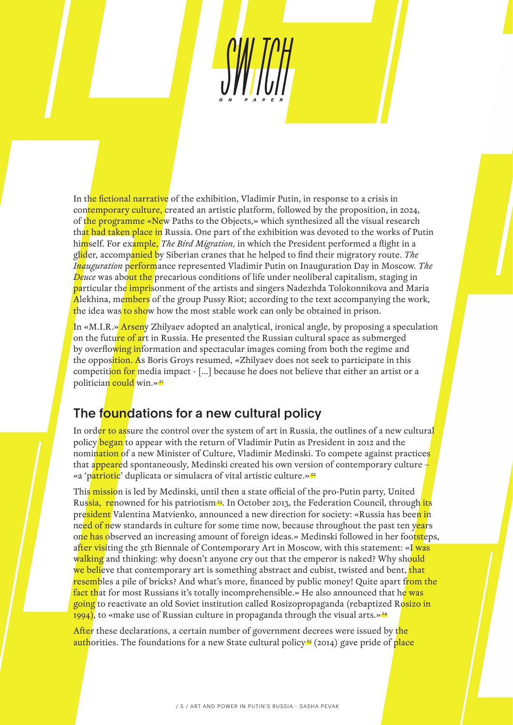In the fictional narrative of the exhibition, Vladimir Putin, in response to a crisis in contemporary culture, created an artistic platform, followed by the proposition, in 2024, of the programme «New Paths to the Objects,» which synthesized all the visual research that had taken place in Russia. One part of the exhibition was devoted to the works of Putin himself. For example, *The Bird Migration,* in which the President performed a flight in a glider, accompanied by Siberian cranes that he helped to find their migratory route. *The Inauguration* performance represented Vladimir Putin on Inauguration Day in Moscow. *The Deuce* was about the precarious conditions of life under neoliberal capitalism, staging in particular the imprisonment of the artists and singers Nadezhda Tolokonnikova and Maria Alekhina, members of the group Pussy Riot; according to the text accompanying the work, the idea was to show how the most stable work can only be obtained in prison.

In «M.I.R.» Arseny Zhilyaev adopted an analytical, ironical angle, by proposing a speculation on the future of art in Russia. He presented the Russian cultural space as submerged by overflowing information and spectacular images coming from both the regime and the opposition. As Boris Groys resumed, «Zhilyaev does not seek to participate in this competition for media impact - [...] because he does not believe that either an artist or a politician could win.»<sup>21</sup>

### The foundations for a new cultural policy

In order to assure the control over the system of art in Russia, the outlines of a new cultural policy began to appear with the return of Vladimir Putin as President in 2012 and the nomination of a new Minister of Culture, Vladimir Medinski. To compete against practices that appeared spontaneously, Medinski created his own version of contemporary culture  $\pm$ «a 'patriotic' duplicata or simulacra of vital artistic culture.»<sup>22</sup>

This mission is led by Medinski, until then a state official of the pro-Putin party, United Russia, renowned for his patriotism<sup>23</sup>. In October 2013, the Federation Council, through its president Valentina Matvienko, announced a new direction for society: «Russia has been in need of new standards in culture for some time now, because throughout the past ten years one has observed an increasing amount of foreign ideas.» Medinski followed in her footsteps, after visiting the 5th Biennale of Contemporary Art in Moscow, with this statement: «I was walking and thinking: why doesn't anyone cry out that the emperor is naked? Why should we believe that contemporary art is something abstract and cubist, twisted and bent, that resembles a pile of bricks? And what's more, financed by public money! Quite apart from the fact that for most Russians it's totally incomprehensible.» He also announced that he was going to reactivate an old Soviet institution called Rosizopropaganda (rebaptized Rosizo in 1994), to «make use of Russian culture in propaganda through the visual arts.»<sup>24</sup>

After these declarations, a certain number of government decrees were issued by the **auth**orities. The foundations for a new State cultural policy<sup>25</sup> (2014) gave pride of place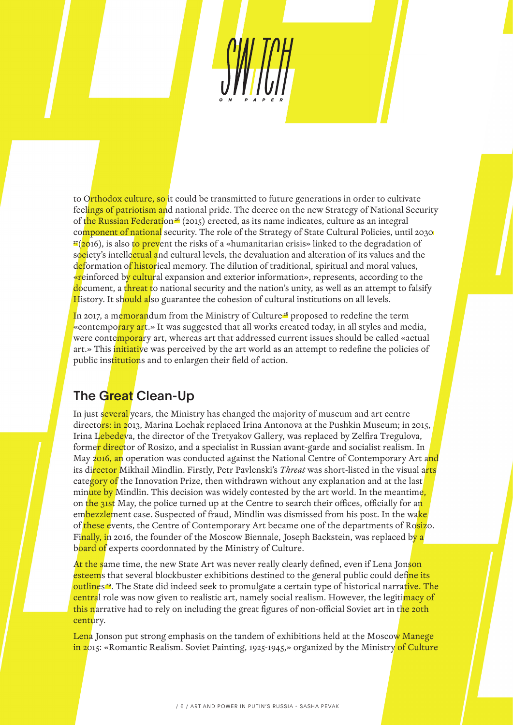to Orthodox culture, so it could be transmitted to future generations in order to cultivate feelings of patriotism and national pride. The decree on the new Strategy of National Security of the Russian Federation<sup>26</sup> (2015) erected, as its name indicates, culture as an integral component of national security. The role of the Strategy of State Cultural Policies, until 2030 <sup>27</sup>(2016), is also to prevent the risks of a «humanitarian crisis» linked to the degradation of society's intellectual and cultural levels, the devaluation and alteration of its values and the deformation of historical memory. The dilution of traditional, spiritual and moral values, «reinforced by cultural expansion and exterior information», represents, according to the document, a threat to national security and the nation's unity, as well as an attempt to falsify History. It should also guarantee the cohesion of cultural institutions on all levels.

In 2017, a memorandum from the Ministry of Culture<sup>28</sup> proposed to redefine the term «contemporary art.» It was suggested that all works created today, in all styles and media, were contemporary art, whereas art that addressed current issues should be called «actual art.» This initiative was perceived by the art world as an attempt to redefine the policies of public institutions and to enlargen their field of action.

## The Great Clean-Up

In just several years, the Ministry has changed the majority of museum and art centre directors: in 2013, Marina Lochak replaced Irina Antonova at the Pushkin Museum; in 2015, Irina Lebedeva, the director of the Tretyakov Gallery, was replaced by Zelfira Tregulova, forme<mark>r direc</mark>tor of Rosizo, and a specialist in Russian avant-garde and socialist realism. In May 2016, an operation was conducted against the National Centre of Contemporary Art and its director Mikhail Mindlin. Firstly, Petr Pavlenski's *Threat* was short-listed in the visual arts category of the Innovation Prize, then withdrawn without any explanation and at the last minute by Mindlin. This decision was widely contested by the art world. In the meantime, on the 31st May, the police turned up at the Centre to search their offices, officially for an embezzlement case. Suspected of fraud, Mindlin was dismissed from his post. In the wake of these events, the Centre of Contemporary Art became one of the departments of Rosizo. Finally, in 2016, the founder of the Moscow Biennale, Joseph Backstein, was replaced by a board of experts coordonnated by the Ministry of Culture.

At the same time, the new State Art was never really clearly defined, even if Lena Jonson esteems that several blockbuster exhibitions destined to the general public could define its outlines<sup>29</sup>. The State did indeed seek to promulgate a certain type of historical narrative. The central role was now given to realistic art, namely social realism. However, the legitimacy of this narrative had to rely on including the great figures of non-official Soviet art in the 20th century.

Lena Jonson put strong emphasis on the tandem of exhibitions held at the Moscow Manege in 2015: «Romantic Realism. Soviet Painting, 1925-1945,» organized by the Ministry of Culture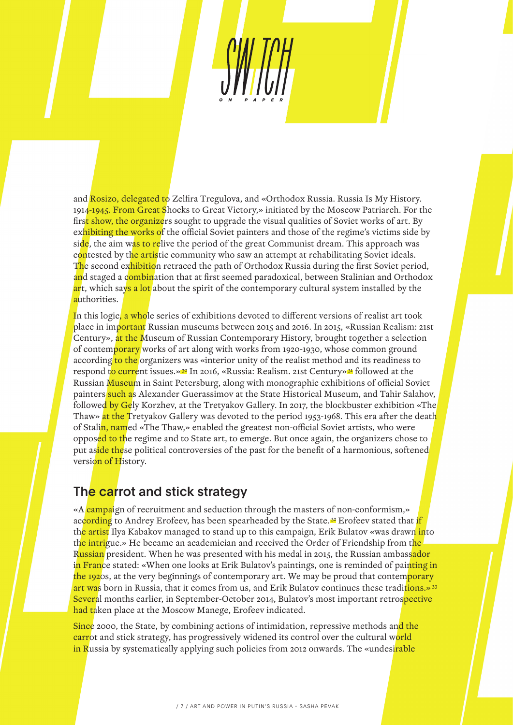and Rosizo, delegated to Zelfira Tregulova, and «Orthodox Russia. Russia Is My History. 1914-1945. From Great Shocks to Great Victory,» initiated by the Moscow Patriarch. For the first show, the organizers sought to upgrade the visual qualities of Soviet works of art. By exhibiting the works of the official Soviet painters and those of the regime's victims side by side, the aim was to relive the period of the great Communist dream. This approach was contested by the artistic community who saw an attempt at rehabilitating Soviet ideals. The second exhibition retraced the path of Orthodox Russia during the first Soviet period, and staged a combination that at first seemed paradoxical, between Stalinian and Orthodox art, which says a lot about the spirit of the contemporary cultural system installed by the authorities.

In this logic, a whole series of exhibitions devoted to different versions of realist art took place in important Russian museums between 2015 and 2016. In 2015, «Russian Realism: 21st Century», at the Museum of Russian Contemporary History, brought together a selection of contemporary works of art along with works from 1920-1930, whose common ground according to the organizers was «interior unity of the realist method and its readiness to respond to current issues.»<sup>30</sup> In 2016, «Russia: Realism. 21st Century»<sup>31</sup> followed at the Russian Museum in Saint Petersburg, along with monographic exhibitions of official Soviet painters such as Alexander Guerassimov at the State Historical Museum, and Tahir Salahov, followed by Gely Korzhev, at the Tretyakov Gallery. In 2017, the blockbuster exhibition «The Thaw» at the Tretyakov Gallery was devoted to the period 1953-1968. This era after the death of Stalin, named «The Thaw,» enabled the greatest non-official Soviet artists, who were opposed to the regime and to State art, to emerge. But once again, the organizers chose to put aside these political controversies of the past for the benefit of a harmonious, softened version of History.

### The carrot and stick strategy

«A campaign of recruitment and seduction through the masters of non-conformism,» according to Andrey Erofeev, has been spearheaded by the State.<sup>32</sup> Erofeev stated that if th<mark>e artist</mark> Ilya Kabakov managed to stand up to this campaign, Erik Bulatov «was drawn into the intrigue.» He became an academician and received the Order of Friendship from the Russian president. When he was presented with his medal in 2015, the Russian ambassador in France stated: «When one looks at Erik Bulatov's paintings, one is reminded of painting in the 1920s, at the very beginnings of contemporary art. We may be proud that contemporary art was born in Russia, that it comes from us, and Erik Bulatov continues these traditions.»<sup>33</sup> Several months earlier, in September-October 2014, Bulatov's most important retrospective had taken place at the Moscow Manege, Erofeev indicated.

Since 2000, the State, by combining actions of intimidation, repressive methods and the carrot and stick strategy, has progressively widened its control over the cultural world in Russia by systematically applying such policies from 2012 onwards. The «undesirable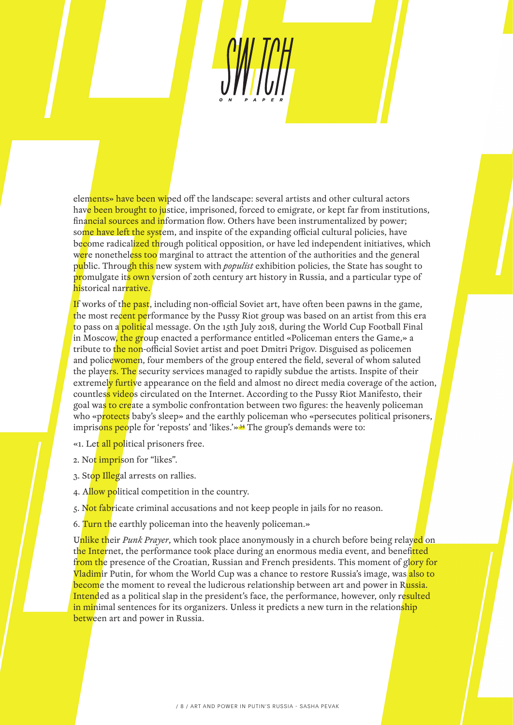elements» have been wiped off the landscape: several artists and other cultural actors have been brought to justice, imprisoned, forced to emigrate, or kept far from institutions, financial sources and information flow. Others have been instrumentalized by power; some have left the system, and inspite of the expanding official cultural policies, have become radicalized through political opposition, or have led independent initiatives, which were nonetheless too marginal to attract the attention of the authorities and the general public. Through this new system with *populist* exhibition policies, the State has sought to promulgate its own version of 20th century art history in Russia, and a particular type of historical narrative.

If works of the past, including non-official Soviet art, have often been pawns in the game, the most recent performance by the Pussy Riot group was based on an artist from this era to pass on a **political** message. On the 15th July 2018, during the World Cup Football Final in Moscow, the group enacted a performance entitled «Policeman enters the Game,» a tribute to the non-official Soviet artist and poet Dmitri Prigov. Disguised as policemen and policewomen, four members of the group entered the field, several of whom saluted the players. The security services managed to rapidly subdue the artists. Inspite of their extremely furtive appearance on the field and almost no direct media coverage of the action, countless videos circulated on the Internet. According to the Pussy Riot Manifesto, their goal was to create a symbolic confrontation between two figures: the heavenly policeman who «protects baby's sleep» and the earthly policeman who «persecutes political prisoners, imprisons people for 'reposts' and 'likes.'»<sup>34</sup> The group's demands were to:

- «1. Let all political prisoners free.
- 2. Not *imprison* for "likes".
- 3. Stop Illegal arrests on rallies.
- 4. Allow political competition in the country.
- 5. Not fabricate criminal accusations and not keep people in jails for no reason.
- 6. Turn the earthly policeman into the heavenly policeman.»

Unlike their *Punk Prayer*, which took place anonymously in a church before being relayed on the Internet, the performance took place during an enormous media event, and benefitted from the presence of the Croatian, Russian and French presidents. This moment of glory for Vladimir Putin, for whom the World Cup was a chance to restore Russia's image, was also to become the moment to reveal the ludicrous relationship between art and power in Russia. Intended as a political slap in the president's face, the performance, however, only resulted in minimal sentences for its organizers. Unless it predicts a new turn in the relationship between art and power in Russia.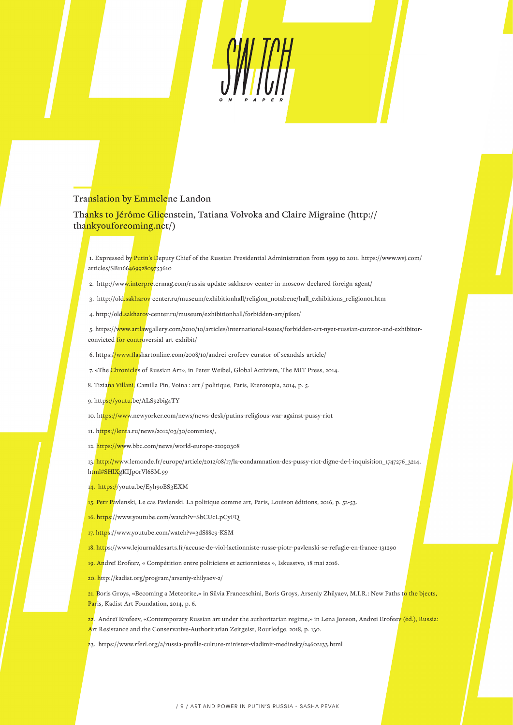

#### Translation by Emmelene Landon

Thanks to Jérôme Glicenstein, Tatiana Volvoka and Claire Migraine (http:// thankyouforcoming.net/)

 1. Expressed by Putin's Deputy Chief of the Russian Presidential Administration from 1999 to 2011. https://www.wsj.com/ articles/SB116646992809753610

- 2. http://www.interpretermag.com/russia-update-sakharov-center-in-moscow-declared-foreign-agent/
- 3. http://old.sakharov-center.ru/museum/exhibitionhall/religion\_notabene/hall\_exhibitions\_religion01.htm
- 4. http://old.sakharov-center.ru/museum/exhibitionhall/forbidden-art/piket/

 5. https://www.artlawgallery.com/2010/10/articles/international-issues/forbidden-art-nyet-russian-curator-and-exhibitorconvicted-for-controversial-art-exhibit/

- 6. https://www.flashartonline.com/2008/10/andrei-erofeev-curator-of-scandals-article/
- 7. «The Chronicles of Russian Art», in Peter Weibel, Global Activism, The MIT Press, 2014.
- 8. Tizia<mark>na Villani,</mark> Camilla Pin, Voina : art / politique, Paris, Eterotopia, 2014, p. 5.
- 9. https://youtu.be/ALS92big4TY
- 10. https://www.newyorker.com/news/news-desk/putins-religious-war-against-pussy-riot
- 11. https://lenta.ru/news/2012/03/30/commies/,
- 12. https://www.bbc.com/news/world-europe-22090308

13. http://www.lemonde.fr/europe/article/2012/08/17/la-condamnation-des-pussy-riot-digne-de-l-inquisition\_1747276\_3214. html#SHlXgKIJporVl6SM.99

14. https://youtu.be/Eyh9oBS3EXM

15. Petr Pavlenski, Le cas Pavlenski. La politique comme art, Paris, Louison éditions, 2016, p. 52-53.

- 16. https://www.youtube.com/watch?v=SbCUcLpCyFQ
- 17. https://www.youtube.com/watch?v=3dS88c9-KSM
- 18. https://www.lejournaldesarts.fr/accuse-de-viol-lactionniste-russe-piotr-pavlenski-se-refugie-en-france-131290
- 19. Andreï Erofeev, « Compétition entre politiciens et actionnistes », Iskusstvo, 18 mai 2016.
- 20. http://kadist.org/program/arseniy-zhilyaev-2/
- 21. Boris Groys, «Becoming a Meteorite,» in Silvia Franceschini, Boris Groys, Arseniy Zhilyaev, M.I.R.: New Paths t<mark>o the bjects,</mark> Paris, Kadist Art Foundation, 2014, p. 6.
- 22. Andreï Erofeev, «Contemporary Russian art under the authoritarian regime,» in Lena Jonson, Andrei Erofeev (éd.), Russia: Art Resistance and the Conservative-Authoritarian Zeitgeist, Routledge, 2018, p. 130.
- 23. https://www.rferl.org/a/russia-profile-culture-minister-vladimir-medinsky/24602133.html